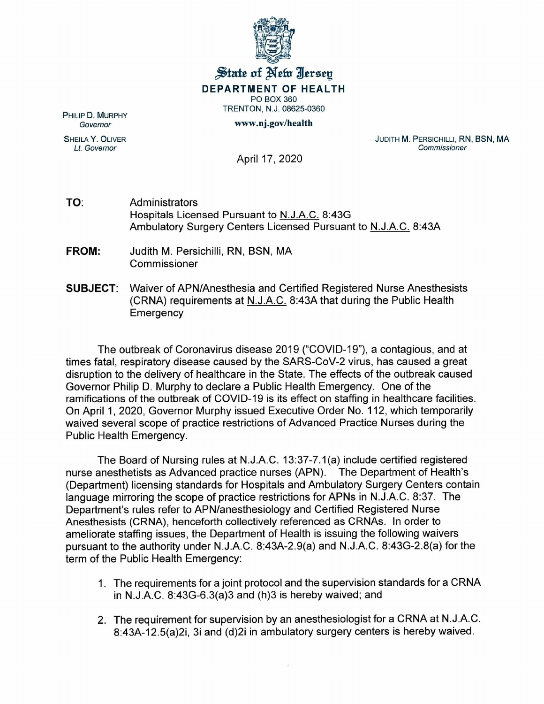

## $\frac{1}{2}$  state of Netu Iersey **DEPARTMENT OF HEALTH** PO BOX 360

TRENTON, N.J. 08625-0360

www.nj.gov/health

PHILIP D. MURPHY *Governor*

SHEILA Y. OLIVER *Lt. Governor*

JUDITH M. PERSICHILLI, RN, BSN, MA *Commissioner*

April 17, 2020

- TO: Administrators Hospitals Licensed Pursuant to N.J.A.C. 8:43G Ambulatory Surgery Centers Licensed Pursuant to N.J.A.C. 8:43A
- **FROM:** Judith M. Persichilli, RN, BSN, MA Commissioner
- **SUBJECT:** Waiver of APN/Anesthesia and Certified Registered Nurse Anesthesists (CRNA) requirements at N.J.A.C. 8:43A that during the Public Health **Emergency**

The outbreak of Coronavirus disease 2019 ("COVID-19"), a contagious, and at times fatal, respiratory disease caused by the SARS-CoV-2 virus, has caused a great disruption to the delivery of healthcare in the State. The effects of the outbreak caused Governor Philip D. Murphy to declare a Public Health Emergency. One of the ramifications of the outbreak of COVID-19 is its effect on staffing in healthcare facilities. On April 1,2020, Governor Murphy issued Executive Order No. 112, which temporarily waived several scope of practice restrictions of Advanced Practice Nurses during the Public Health Emergency.

The Board of Nursing rules at N.J.A.C. 13:37-7.1 (a) include certified registered nurse anesthetists as Advanced practice nurses (APN). The Department of Health's (Department) licensing standards for Hospitals and Ambulatory Surgery Centers contain language mirroring the scope of practice restrictions for APNs in N.J.A.C. 8:37. The Department's rules refer to APN/anesthesiology and Certified Registered Nurse Anesthesists (CRNA), henceforth collectively referenced as CRNAs. In order to ameliorate staffing issues, the Department of Health is issuing the following waivers pursuant to the authority under N.J.A.C. 8:43A-2.9(a) and N.J.A.C. 8:43G-2.8(a) for the term of the Public Health Emergency:

- 1. The requirements for a joint protocol and the supervision standards for a CRNA in N.J.A.C. 8:43G-6.3(a)3 and (h)3 is hereby waived; and
- 2. The requirement for supervision by an anesthesiologist for a CRNA at N.J.A.C. 8:43A-12.5(a)2i, 3i and (d)2i in ambulatory surgery centers is hereby waived.

ÿ.